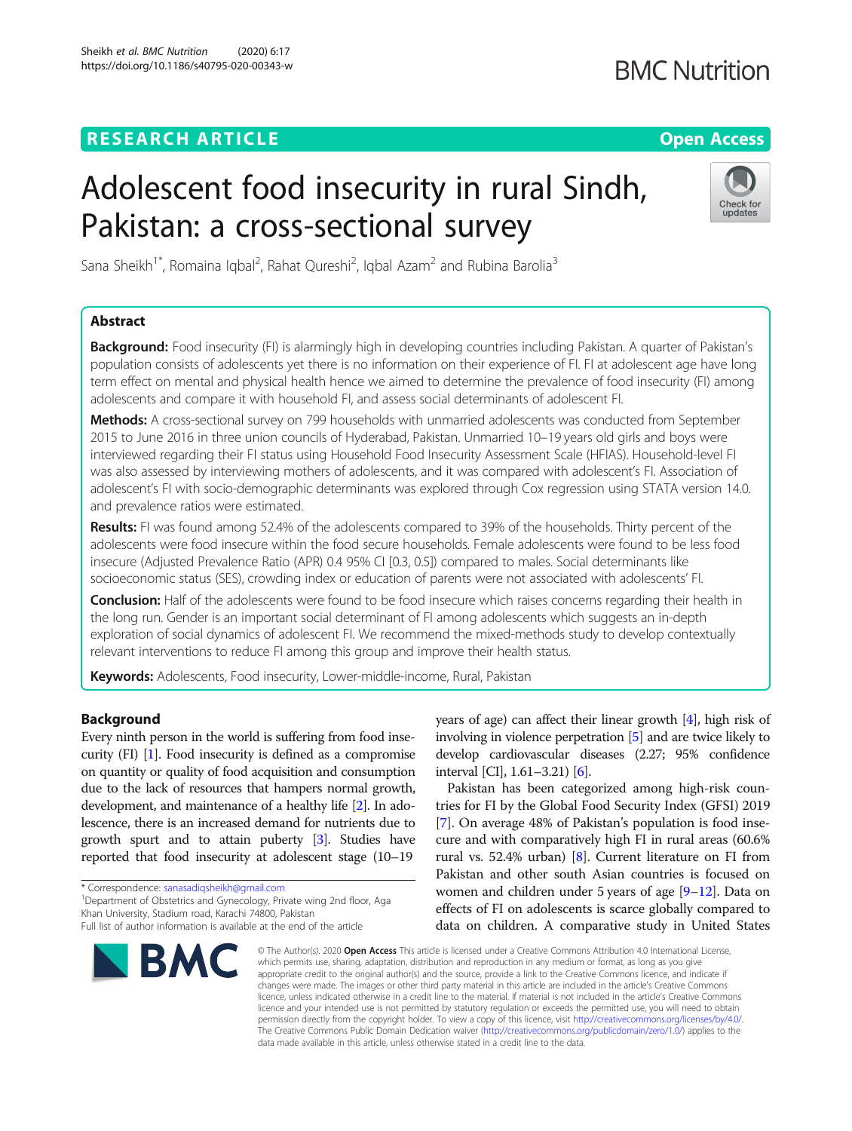# **RESEARCH ARTICLE Example 2014 12:30 The Contract of Contract ACCESS**

# **BMC Nutrition**

# Adolescent food insecurity in rural Sindh, Pakistan: a cross-sectional survey



Sana Sheikh<sup>1\*</sup>, Romaina Iqbal<sup>2</sup>, Rahat Qureshi<sup>2</sup>, Iqbal Azam<sup>2</sup> and Rubina Barolia<sup>3</sup>

# Abstract

**Background:** Food insecurity (FI) is alarmingly high in developing countries including Pakistan. A quarter of Pakistan's population consists of adolescents yet there is no information on their experience of FI. FI at adolescent age have long term effect on mental and physical health hence we aimed to determine the prevalence of food insecurity (FI) among adolescents and compare it with household FI, and assess social determinants of adolescent FI.

Methods: A cross-sectional survey on 799 households with unmarried adolescents was conducted from September 2015 to June 2016 in three union councils of Hyderabad, Pakistan. Unmarried 10–19 years old girls and boys were interviewed regarding their FI status using Household Food Insecurity Assessment Scale (HFIAS). Household-level FI was also assessed by interviewing mothers of adolescents, and it was compared with adolescent's FI. Association of adolescent's FI with socio-demographic determinants was explored through Cox regression using STATA version 14.0. and prevalence ratios were estimated.

Results: FI was found among 52.4% of the adolescents compared to 39% of the households. Thirty percent of the adolescents were food insecure within the food secure households. Female adolescents were found to be less food insecure (Adjusted Prevalence Ratio (APR) 0.4 95% CI [0.3, 0.5]) compared to males. Social determinants like socioeconomic status (SES), crowding index or education of parents were not associated with adolescents' FI.

Conclusion: Half of the adolescents were found to be food insecure which raises concerns regarding their health in the long run. Gender is an important social determinant of FI among adolescents which suggests an in-depth exploration of social dynamics of adolescent FI. We recommend the mixed-methods study to develop contextually relevant interventions to reduce FI among this group and improve their health status.

Keywords: Adolescents, Food insecurity, Lower-middle-income, Rural, Pakistan

# **Background**

Every ninth person in the world is suffering from food insecurity (FI) [\[1\]](#page-7-0). Food insecurity is defined as a compromise on quantity or quality of food acquisition and consumption due to the lack of resources that hampers normal growth, development, and maintenance of a healthy life [\[2\]](#page-7-0). In adolescence, there is an increased demand for nutrients due to growth spurt and to attain puberty [\[3](#page-7-0)]. Studies have reported that food insecurity at adolescent stage (10–19

\* Correspondence: [sanasadiqsheikh@gmail.com](mailto:sanasadiqsheikh@gmail.com) <sup>1</sup>

<sup>1</sup>Department of Obstetrics and Gynecology, Private wing 2nd floor, Aga Khan University, Stadium road, Karachi 74800, Pakistan

Full list of author information is available at the end of the article



years of age) can affect their linear growth [\[4\]](#page-7-0), high risk of involving in violence perpetration [\[5\]](#page-7-0) and are twice likely to develop cardiovascular diseases (2.27; 95% confidence interval [CI], 1.61–3.21) [[6](#page-7-0)].

Pakistan has been categorized among high-risk countries for FI by the Global Food Security Index (GFSI) 2019 [[7\]](#page-7-0). On average 48% of Pakistan's population is food insecure and with comparatively high FI in rural areas (60.6% rural vs. 52.4% urban) [[8\]](#page-7-0). Current literature on FI from Pakistan and other south Asian countries is focused on women and children under 5 years of age  $[9-12]$  $[9-12]$  $[9-12]$  $[9-12]$  $[9-12]$ . Data on effects of FI on adolescents is scarce globally compared to data on children. A comparative study in United States

© The Author(s), 2020 **Open Access** This article is licensed under a Creative Commons Attribution 4.0 International License, which permits use, sharing, adaptation, distribution and reproduction in any medium or format, as long as you give appropriate credit to the original author(s) and the source, provide a link to the Creative Commons licence, and indicate if changes were made. The images or other third party material in this article are included in the article's Creative Commons licence, unless indicated otherwise in a credit line to the material. If material is not included in the article's Creative Commons licence and your intended use is not permitted by statutory regulation or exceeds the permitted use, you will need to obtain permission directly from the copyright holder. To view a copy of this licence, visit [http://creativecommons.org/licenses/by/4.0/.](http://creativecommons.org/licenses/by/4.0/) The Creative Commons Public Domain Dedication waiver [\(http://creativecommons.org/publicdomain/zero/1.0/](http://creativecommons.org/publicdomain/zero/1.0/)) applies to the data made available in this article, unless otherwise stated in a credit line to the data.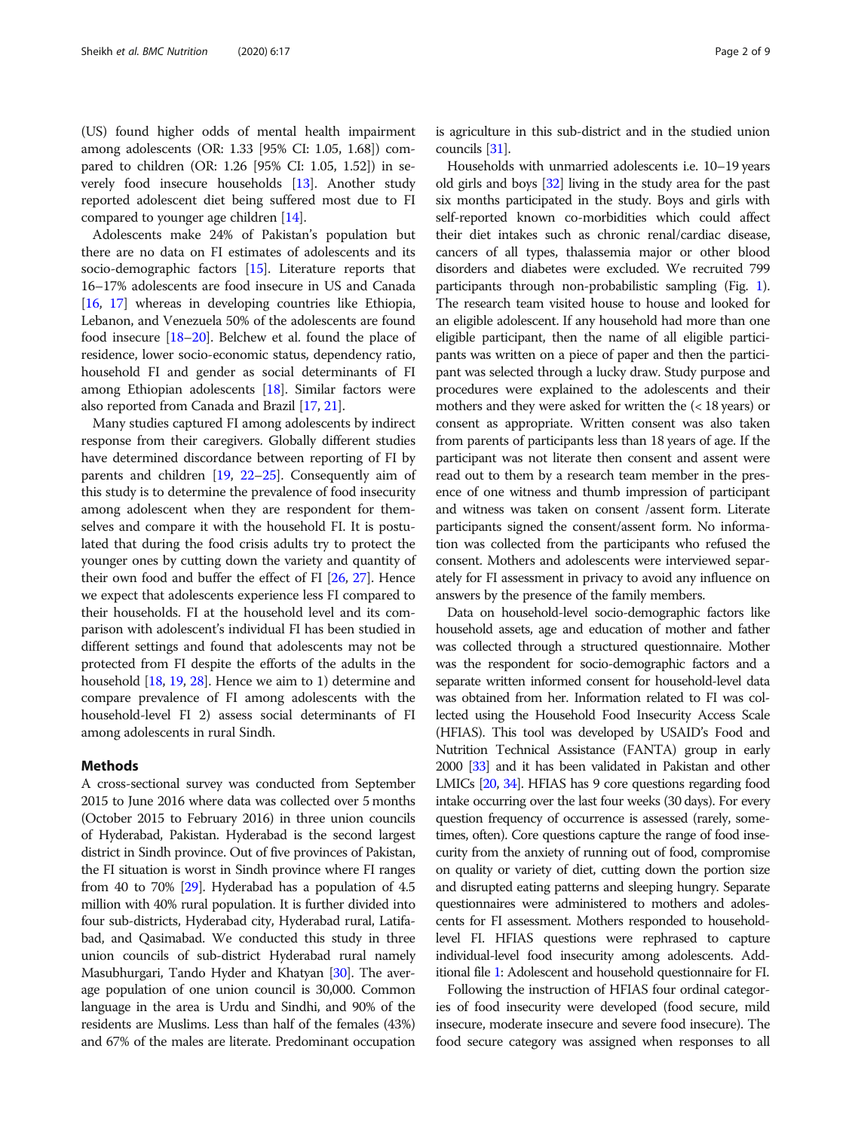(US) found higher odds of mental health impairment among adolescents (OR: 1.33 [95% CI: 1.05, 1.68]) compared to children (OR: 1.26 [95% CI: 1.05, 1.52]) in severely food insecure households [\[13\]](#page-7-0). Another study reported adolescent diet being suffered most due to FI compared to younger age children [\[14](#page-7-0)].

Adolescents make 24% of Pakistan's population but there are no data on FI estimates of adolescents and its socio-demographic factors [[15](#page-7-0)]. Literature reports that 16–17% adolescents are food insecure in US and Canada [[16](#page-7-0), [17](#page-7-0)] whereas in developing countries like Ethiopia, Lebanon, and Venezuela 50% of the adolescents are found food insecure [[18](#page-7-0)–[20\]](#page-7-0). Belchew et al. found the place of residence, lower socio-economic status, dependency ratio, household FI and gender as social determinants of FI among Ethiopian adolescents [\[18](#page-7-0)]. Similar factors were also reported from Canada and Brazil [\[17,](#page-7-0) [21](#page-7-0)].

Many studies captured FI among adolescents by indirect response from their caregivers. Globally different studies have determined discordance between reporting of FI by parents and children [\[19](#page-7-0), [22](#page-7-0)–[25](#page-7-0)]. Consequently aim of this study is to determine the prevalence of food insecurity among adolescent when they are respondent for themselves and compare it with the household FI. It is postulated that during the food crisis adults try to protect the younger ones by cutting down the variety and quantity of their own food and buffer the effect of FI [[26](#page-7-0), [27](#page-7-0)]. Hence we expect that adolescents experience less FI compared to their households. FI at the household level and its comparison with adolescent's individual FI has been studied in different settings and found that adolescents may not be protected from FI despite the efforts of the adults in the household [\[18,](#page-7-0) [19](#page-7-0), [28\]](#page-7-0). Hence we aim to 1) determine and compare prevalence of FI among adolescents with the household-level FI 2) assess social determinants of FI among adolescents in rural Sindh.

# Methods

A cross-sectional survey was conducted from September 2015 to June 2016 where data was collected over 5 months (October 2015 to February 2016) in three union councils of Hyderabad, Pakistan. Hyderabad is the second largest district in Sindh province. Out of five provinces of Pakistan, the FI situation is worst in Sindh province where FI ranges from 40 to 70% [\[29\]](#page-7-0). Hyderabad has a population of 4.5 million with 40% rural population. It is further divided into four sub-districts, Hyderabad city, Hyderabad rural, Latifabad, and Qasimabad. We conducted this study in three union councils of sub-district Hyderabad rural namely Masubhurgari, Tando Hyder and Khatyan [\[30](#page-7-0)]. The average population of one union council is 30,000. Common language in the area is Urdu and Sindhi, and 90% of the residents are Muslims. Less than half of the females (43%) and 67% of the males are literate. Predominant occupation

is agriculture in this sub-district and in the studied union councils [[31](#page-7-0)].

Households with unmarried adolescents i.e. 10–19 years old girls and boys [[32](#page-7-0)] living in the study area for the past six months participated in the study. Boys and girls with self-reported known co-morbidities which could affect their diet intakes such as chronic renal/cardiac disease, cancers of all types, thalassemia major or other blood disorders and diabetes were excluded. We recruited 799 participants through non-probabilistic sampling (Fig. [1](#page-2-0)). The research team visited house to house and looked for an eligible adolescent. If any household had more than one eligible participant, then the name of all eligible participants was written on a piece of paper and then the participant was selected through a lucky draw. Study purpose and procedures were explained to the adolescents and their mothers and they were asked for written the (< 18 years) or consent as appropriate. Written consent was also taken from parents of participants less than 18 years of age. If the participant was not literate then consent and assent were read out to them by a research team member in the presence of one witness and thumb impression of participant and witness was taken on consent /assent form. Literate participants signed the consent/assent form. No information was collected from the participants who refused the consent. Mothers and adolescents were interviewed separately for FI assessment in privacy to avoid any influence on answers by the presence of the family members.

Data on household-level socio-demographic factors like household assets, age and education of mother and father was collected through a structured questionnaire. Mother was the respondent for socio-demographic factors and a separate written informed consent for household-level data was obtained from her. Information related to FI was collected using the Household Food Insecurity Access Scale (HFIAS). This tool was developed by USAID's Food and Nutrition Technical Assistance (FANTA) group in early 2000 [\[33\]](#page-7-0) and it has been validated in Pakistan and other LMICs [[20](#page-7-0), [34](#page-7-0)]. HFIAS has 9 core questions regarding food intake occurring over the last four weeks (30 days). For every question frequency of occurrence is assessed (rarely, sometimes, often). Core questions capture the range of food insecurity from the anxiety of running out of food, compromise on quality or variety of diet, cutting down the portion size and disrupted eating patterns and sleeping hungry. Separate questionnaires were administered to mothers and adolescents for FI assessment. Mothers responded to householdlevel FI. HFIAS questions were rephrased to capture individual-level food insecurity among adolescents. Additional file [1](#page-6-0): Adolescent and household questionnaire for FI.

Following the instruction of HFIAS four ordinal categories of food insecurity were developed (food secure, mild insecure, moderate insecure and severe food insecure). The food secure category was assigned when responses to all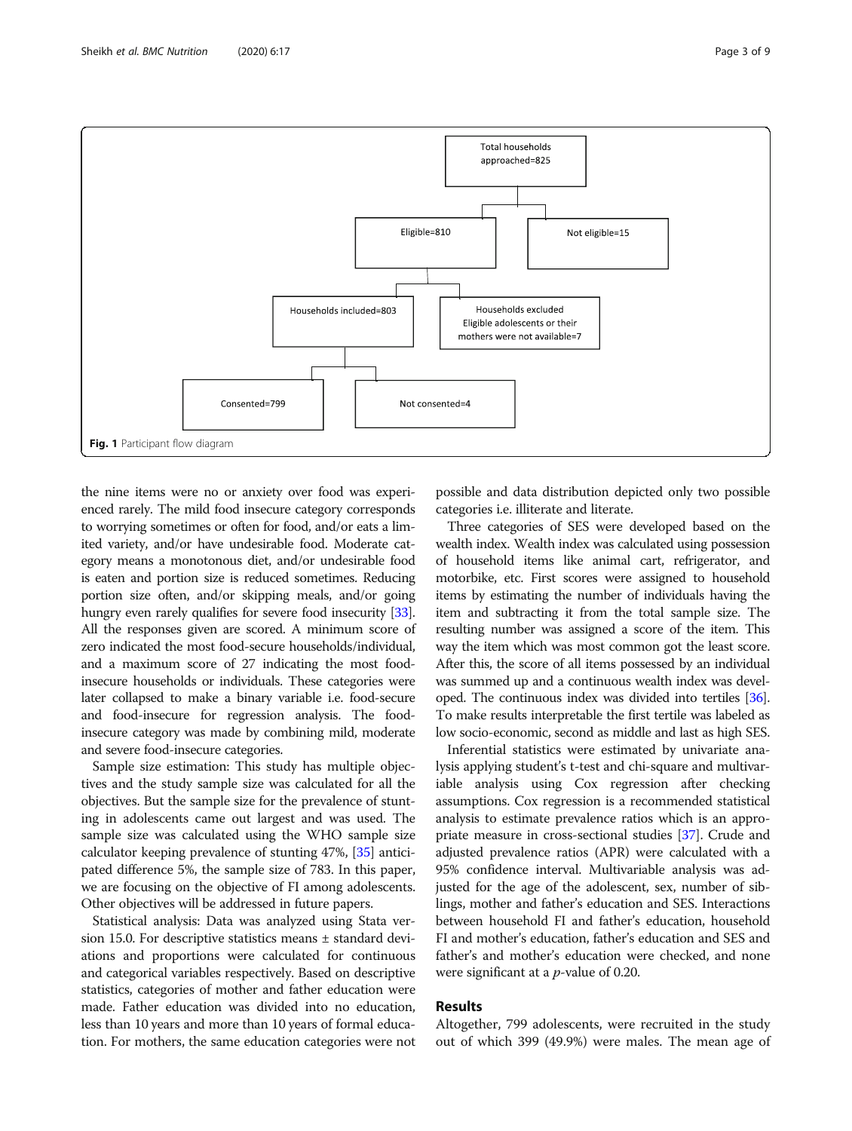<span id="page-2-0"></span>

the nine items were no or anxiety over food was experienced rarely. The mild food insecure category corresponds to worrying sometimes or often for food, and/or eats a limited variety, and/or have undesirable food. Moderate category means a monotonous diet, and/or undesirable food is eaten and portion size is reduced sometimes. Reducing portion size often, and/or skipping meals, and/or going hungry even rarely qualifies for severe food insecurity [\[33](#page-7-0)]. All the responses given are scored. A minimum score of zero indicated the most food-secure households/individual, and a maximum score of 27 indicating the most foodinsecure households or individuals. These categories were later collapsed to make a binary variable i.e. food-secure and food-insecure for regression analysis. The foodinsecure category was made by combining mild, moderate and severe food-insecure categories.

Sample size estimation: This study has multiple objectives and the study sample size was calculated for all the objectives. But the sample size for the prevalence of stunting in adolescents came out largest and was used. The sample size was calculated using the WHO sample size calculator keeping prevalence of stunting 47%, [\[35\]](#page-7-0) anticipated difference 5%, the sample size of 783. In this paper, we are focusing on the objective of FI among adolescents. Other objectives will be addressed in future papers.

Statistical analysis: Data was analyzed using Stata version 15.0. For descriptive statistics means ± standard deviations and proportions were calculated for continuous and categorical variables respectively. Based on descriptive statistics, categories of mother and father education were made. Father education was divided into no education, less than 10 years and more than 10 years of formal education. For mothers, the same education categories were not

possible and data distribution depicted only two possible categories i.e. illiterate and literate.

Three categories of SES were developed based on the wealth index. Wealth index was calculated using possession of household items like animal cart, refrigerator, and motorbike, etc. First scores were assigned to household items by estimating the number of individuals having the item and subtracting it from the total sample size. The resulting number was assigned a score of the item. This way the item which was most common got the least score. After this, the score of all items possessed by an individual was summed up and a continuous wealth index was developed. The continuous index was divided into tertiles [\[36](#page-7-0)]. To make results interpretable the first tertile was labeled as low socio-economic, second as middle and last as high SES.

Inferential statistics were estimated by univariate analysis applying student's t-test and chi-square and multivariable analysis using Cox regression after checking assumptions. Cox regression is a recommended statistical analysis to estimate prevalence ratios which is an appropriate measure in cross-sectional studies [[37](#page-7-0)]. Crude and adjusted prevalence ratios (APR) were calculated with a 95% confidence interval. Multivariable analysis was adjusted for the age of the adolescent, sex, number of siblings, mother and father's education and SES. Interactions between household FI and father's education, household FI and mother's education, father's education and SES and father's and mother's education were checked, and none were significant at a  $p$ -value of 0.20.

# Results

Altogether, 799 adolescents, were recruited in the study out of which 399 (49.9%) were males. The mean age of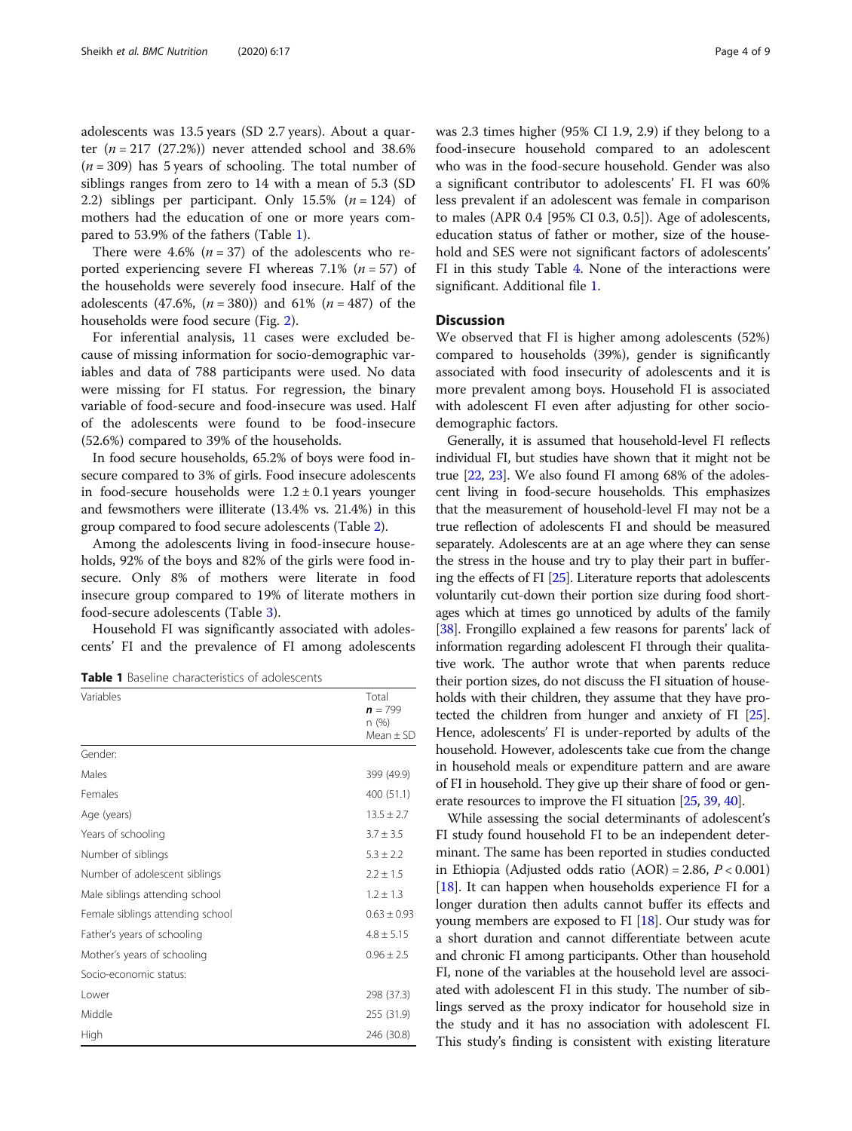adolescents was 13.5 years (SD 2.7 years). About a quarter  $(n = 217 (27.2%)$  never attended school and 38.6%  $(n = 309)$  has 5 years of schooling. The total number of siblings ranges from zero to 14 with a mean of 5.3 (SD 2.2) siblings per participant. Only 15.5%  $(n = 124)$  of mothers had the education of one or more years compared to 53.9% of the fathers (Table 1).

There were 4.6%  $(n = 37)$  of the adolescents who reported experiencing severe FI whereas 7.1% ( $n = 57$ ) of the households were severely food insecure. Half of the adolescents (47.6%,  $(n = 380)$ ) and 61%  $(n = 487)$  of the households were food secure (Fig. [2\)](#page-4-0).

For inferential analysis, 11 cases were excluded because of missing information for socio-demographic variables and data of 788 participants were used. No data were missing for FI status. For regression, the binary variable of food-secure and food-insecure was used. Half of the adolescents were found to be food-insecure (52.6%) compared to 39% of the households.

In food secure households, 65.2% of boys were food insecure compared to 3% of girls. Food insecure adolescents in food-secure households were  $1.2 \pm 0.1$  years younger and fewsmothers were illiterate (13.4% vs. 21.4%) in this group compared to food secure adolescents (Table [2](#page-4-0)).

Among the adolescents living in food-insecure households, 92% of the boys and 82% of the girls were food insecure. Only 8% of mothers were literate in food insecure group compared to 19% of literate mothers in food-secure adolescents (Table [3](#page-5-0)).

Household FI was significantly associated with adolescents' FI and the prevalence of FI among adolescents

Table 1 Baseline characteristics of adolescents

| Variables                        | Total<br>$n = 799$<br>n(%)<br>Mean $\pm$ SD |
|----------------------------------|---------------------------------------------|
| Gender:                          |                                             |
| Males                            | 399 (49.9)                                  |
| Females                          | 400 (51.1)                                  |
| Age (years)                      | $13.5 \pm 2.7$                              |
| Years of schooling               | $3.7 \pm 3.5$                               |
| Number of siblings               | $5.3 \pm 2.2$                               |
| Number of adolescent siblings    | $2.2 \pm 1.5$                               |
| Male siblings attending school   | $1.2 \pm 1.3$                               |
| Female siblings attending school | $0.63 \pm 0.93$                             |
| Father's years of schooling      | $4.8 \pm 5.15$                              |
| Mother's years of schooling      | $0.96 \pm 2.5$                              |
| Socio-economic status:           |                                             |
| Lower                            | 298 (37.3)                                  |
| Middle                           | 255 (31.9)                                  |
| High                             | 246 (30.8)                                  |

was 2.3 times higher (95% CI 1.9, 2.9) if they belong to a food-insecure household compared to an adolescent who was in the food-secure household. Gender was also a significant contributor to adolescents' FI. FI was 60% less prevalent if an adolescent was female in comparison to males (APR 0.4 [95% CI 0.3, 0.5]). Age of adolescents, education status of father or mother, size of the household and SES were not significant factors of adolescents' FI in this study Table [4.](#page-5-0) None of the interactions were significant. Additional file [1.](#page-6-0)

## **Discussion**

We observed that FI is higher among adolescents (52%) compared to households (39%), gender is significantly associated with food insecurity of adolescents and it is more prevalent among boys. Household FI is associated with adolescent FI even after adjusting for other sociodemographic factors.

Generally, it is assumed that household-level FI reflects individual FI, but studies have shown that it might not be true [\[22,](#page-7-0) [23](#page-7-0)]. We also found FI among 68% of the adolescent living in food-secure households. This emphasizes that the measurement of household-level FI may not be a true reflection of adolescents FI and should be measured separately. Adolescents are at an age where they can sense the stress in the house and try to play their part in buffering the effects of FI [\[25\]](#page-7-0). Literature reports that adolescents voluntarily cut-down their portion size during food shortages which at times go unnoticed by adults of the family [[38](#page-7-0)]. Frongillo explained a few reasons for parents' lack of information regarding adolescent FI through their qualitative work. The author wrote that when parents reduce their portion sizes, do not discuss the FI situation of households with their children, they assume that they have protected the children from hunger and anxiety of FI [\[25](#page-7-0)]. Hence, adolescents' FI is under-reported by adults of the household. However, adolescents take cue from the change in household meals or expenditure pattern and are aware of FI in household. They give up their share of food or generate resources to improve the FI situation [\[25,](#page-7-0) [39,](#page-7-0) [40\]](#page-7-0).

While assessing the social determinants of adolescent's FI study found household FI to be an independent determinant. The same has been reported in studies conducted in Ethiopia (Adjusted odds ratio  $(AOR) = 2.86$ ,  $P < 0.001$ ) [[18](#page-7-0)]. It can happen when households experience FI for a longer duration then adults cannot buffer its effects and young members are exposed to FI [\[18\]](#page-7-0). Our study was for a short duration and cannot differentiate between acute and chronic FI among participants. Other than household FI, none of the variables at the household level are associated with adolescent FI in this study. The number of siblings served as the proxy indicator for household size in the study and it has no association with adolescent FI. This study's finding is consistent with existing literature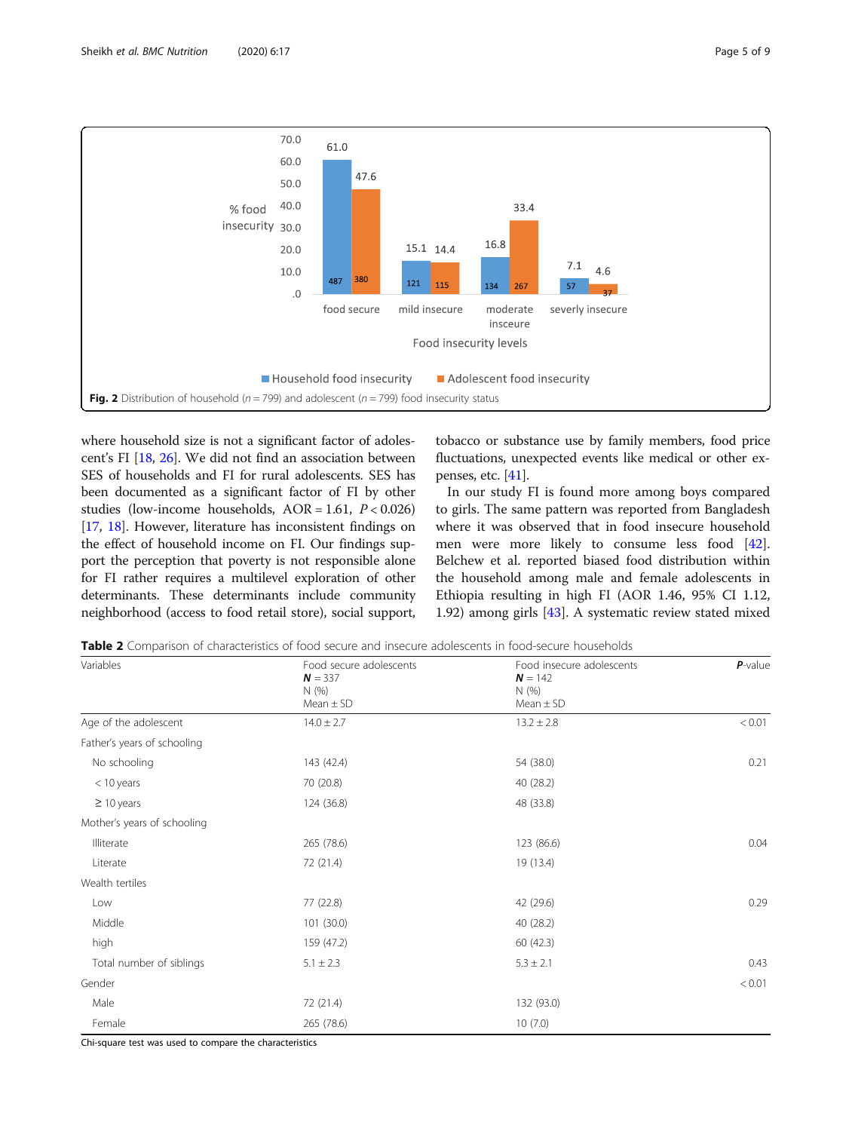<span id="page-4-0"></span>

where household size is not a significant factor of adolescent's FI [[18](#page-7-0), [26](#page-7-0)]. We did not find an association between SES of households and FI for rural adolescents. SES has been documented as a significant factor of FI by other studies (low-income households,  $AOR = 1.61$ ,  $P < 0.026$ ) [[17](#page-7-0), [18\]](#page-7-0). However, literature has inconsistent findings on the effect of household income on FI. Our findings support the perception that poverty is not responsible alone for FI rather requires a multilevel exploration of other determinants. These determinants include community neighborhood (access to food retail store), social support, tobacco or substance use by family members, food price fluctuations, unexpected events like medical or other expenses, etc. [\[41\]](#page-7-0).

In our study FI is found more among boys compared to girls. The same pattern was reported from Bangladesh where it was observed that in food insecure household men were more likely to consume less food [\[42](#page-7-0)]. Belchew et al. reported biased food distribution within the household among male and female adolescents in Ethiopia resulting in high FI (AOR 1.46, 95% CI 1.12, 1.92) among girls [[43](#page-7-0)]. A systematic review stated mixed

Table 2 Comparison of characteristics of food secure and insecure adolescents in food-secure households

| Variables                   | Food secure adolescents | Food insecure adolescents | $P$ -value |
|-----------------------------|-------------------------|---------------------------|------------|
|                             | $N = 337$               | $N = 142$                 |            |
|                             | N(%)                    | N(%)                      |            |
|                             | $Mean \pm SD$           | $Mean \pm SD$             |            |
| Age of the adolescent       | $14.0 \pm 2.7$          | $13.2 \pm 2.8$            | < 0.01     |
| Father's years of schooling |                         |                           |            |
| No schooling                | 143 (42.4)              | 54 (38.0)                 | 0.21       |
| $<$ 10 years                | 70 (20.8)               | 40 (28.2)                 |            |
| $\geq$ 10 years             | 124 (36.8)              | 48 (33.8)                 |            |
| Mother's years of schooling |                         |                           |            |
| Illiterate                  | 265 (78.6)              | 123 (86.6)                | 0.04       |
| Literate                    | 72 (21.4)               | 19 (13.4)                 |            |
| Wealth tertiles             |                         |                           |            |
| Low                         | 77 (22.8)               | 42 (29.6)                 | 0.29       |
| Middle                      | 101 (30.0)              | 40 (28.2)                 |            |
| high                        | 159 (47.2)              | 60 (42.3)                 |            |
| Total number of siblings    | $5.1 \pm 2.3$           | $5.3 \pm 2.1$             | 0.43       |
| Gender                      |                         |                           | < 0.01     |
| Male                        | 72 (21.4)               | 132 (93.0)                |            |
| Female                      | 265 (78.6)              | 10(7.0)                   |            |

Chi-square test was used to compare the characteristics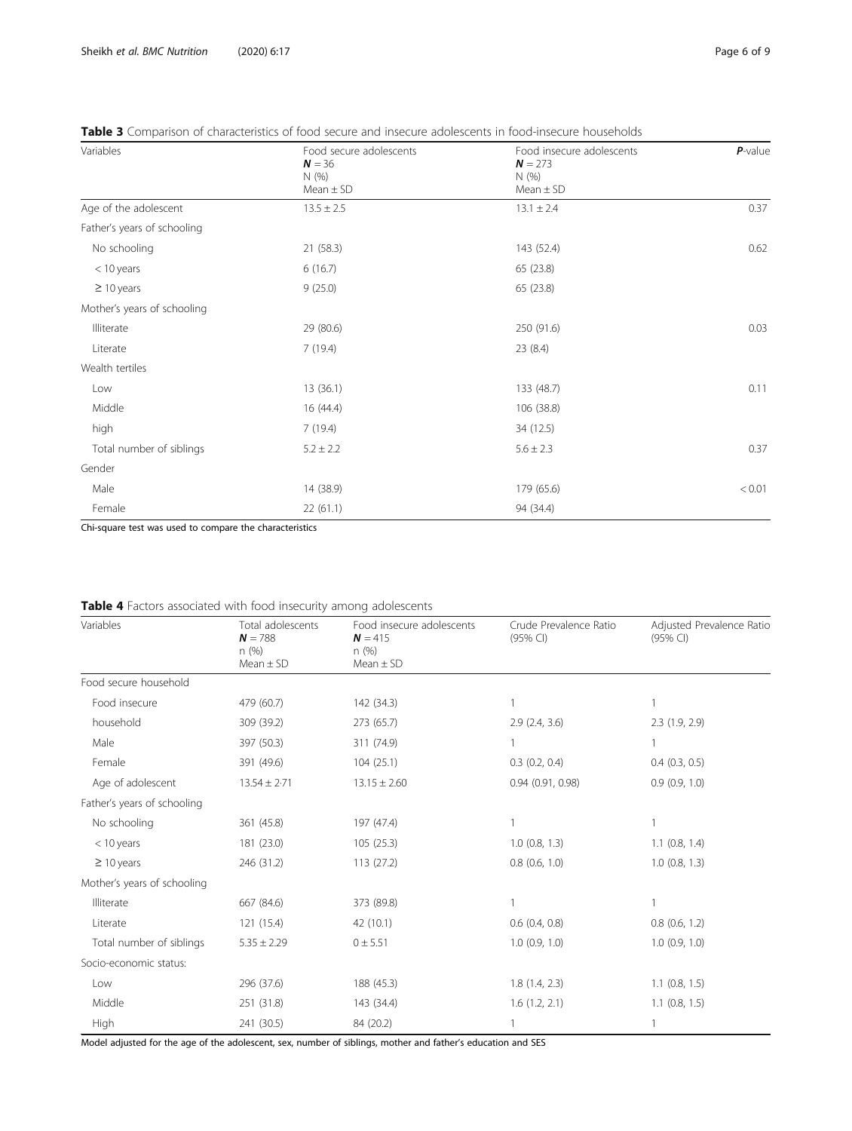<span id="page-5-0"></span>Table 3 Comparison of characteristics of food secure and insecure adolescents in food-insecure households

| Variables                   | Food secure adolescents | Food insecure adolescents | $P$ -value |
|-----------------------------|-------------------------|---------------------------|------------|
|                             | $N = 36$                | $N = 273$                 |            |
|                             | N(% )                   | N(%)                      |            |
|                             | $Mean \pm SD$           | $Mean \pm SD$             |            |
| Age of the adolescent       | $13.5 \pm 2.5$          | $13.1 \pm 2.4$            | 0.37       |
| Father's years of schooling |                         |                           |            |
| No schooling                | 21 (58.3)               | 143 (52.4)                | 0.62       |
| $<$ 10 years                | 6(16.7)                 | 65 (23.8)                 |            |
| $\geq$ 10 years             | 9(25.0)                 | 65 (23.8)                 |            |
| Mother's years of schooling |                         |                           |            |
| Illiterate                  | 29 (80.6)               | 250 (91.6)                | 0.03       |
| Literate                    | 7(19.4)                 | 23 (8.4)                  |            |
| Wealth tertiles             |                         |                           |            |
| Low                         | 13(36.1)                | 133 (48.7)                | 0.11       |
| Middle                      | 16(44.4)                | 106 (38.8)                |            |
| high                        | 7(19.4)                 | 34 (12.5)                 |            |
| Total number of siblings    | $5.2 \pm 2.2$           | $5.6 \pm 2.3$             | 0.37       |
| Gender                      |                         |                           |            |
| Male                        | 14 (38.9)               | 179 (65.6)                | < 0.01     |
| Female                      | 22(61.1)                | 94 (34.4)                 |            |

Chi-square test was used to compare the characteristics

| Variables                   | Total adolescents<br>$N = 788$ | Food insecure adolescents<br>$N = 415$ | Crude Prevalence Ratio<br>$(95% \text{ Cl})$ | Adjusted Prevalence Ratio<br>$(95%$ CI) |
|-----------------------------|--------------------------------|----------------------------------------|----------------------------------------------|-----------------------------------------|
|                             | n(%)<br>$Mean \pm SD$          | n(%)<br>$Mean \pm SD$                  |                                              |                                         |
| Food secure household       |                                |                                        |                                              |                                         |
| Food insecure               | 479 (60.7)                     | 142 (34.3)                             |                                              |                                         |
| household                   | 309 (39.2)                     | 273 (65.7)                             | 2.9(2.4, 3.6)                                | 2.3(1.9, 2.9)                           |
| Male                        | 397 (50.3)                     | 311 (74.9)                             |                                              | 1                                       |
| Female                      | 391 (49.6)                     | 104(25.1)                              | $0.3$ $(0.2, 0.4)$                           | $0.4$ $(0.3, 0.5)$                      |
| Age of adolescent           | $13.54 \pm 2.71$               | $13.15 \pm 2.60$                       | 0.94(0.91, 0.98)                             | 0.9(0.9, 1.0)                           |
| Father's years of schooling |                                |                                        |                                              |                                         |
| No schooling                | 361 (45.8)                     | 197 (47.4)                             |                                              | $\mathbf{1}$                            |
| $<$ 10 years                | 181 (23.0)                     | 105(25.3)                              | $1.0$ (0.8, 1.3)                             | $1.1$ (0.8, 1.4)                        |
| $\geq$ 10 years             | 246 (31.2)                     | 113(27.2)                              | 0.8(0.6, 1.0)                                | $1.0$ (0.8, 1.3)                        |
| Mother's years of schooling |                                |                                        |                                              |                                         |
| Illiterate                  | 667 (84.6)                     | 373 (89.8)                             |                                              | $\mathbf{1}$                            |
| Literate                    | 121 (15.4)                     | 42(10.1)                               | 0.6(0.4, 0.8)                                | $0.8$ $(0.6, 1.2)$                      |
| Total number of siblings    | $5.35 \pm 2.29$                | $0 \pm 5.51$                           | 1.0(0.9, 1.0)                                | $1.0$ (0.9, 1.0)                        |
| Socio-economic status:      |                                |                                        |                                              |                                         |
| Low                         | 296 (37.6)                     | 188 (45.3)                             | 1.8(1.4, 2.3)                                | $1.1$ (0.8, 1.5)                        |
| Middle                      | 251 (31.8)                     | 143 (34.4)                             | 1.6(1.2, 2.1)                                | $1.1$ (0.8, 1.5)                        |
| High                        | 241 (30.5)                     | 84 (20.2)                              |                                              | $\mathbf{1}$                            |

Model adjusted for the age of the adolescent, sex, number of siblings, mother and father's education and SES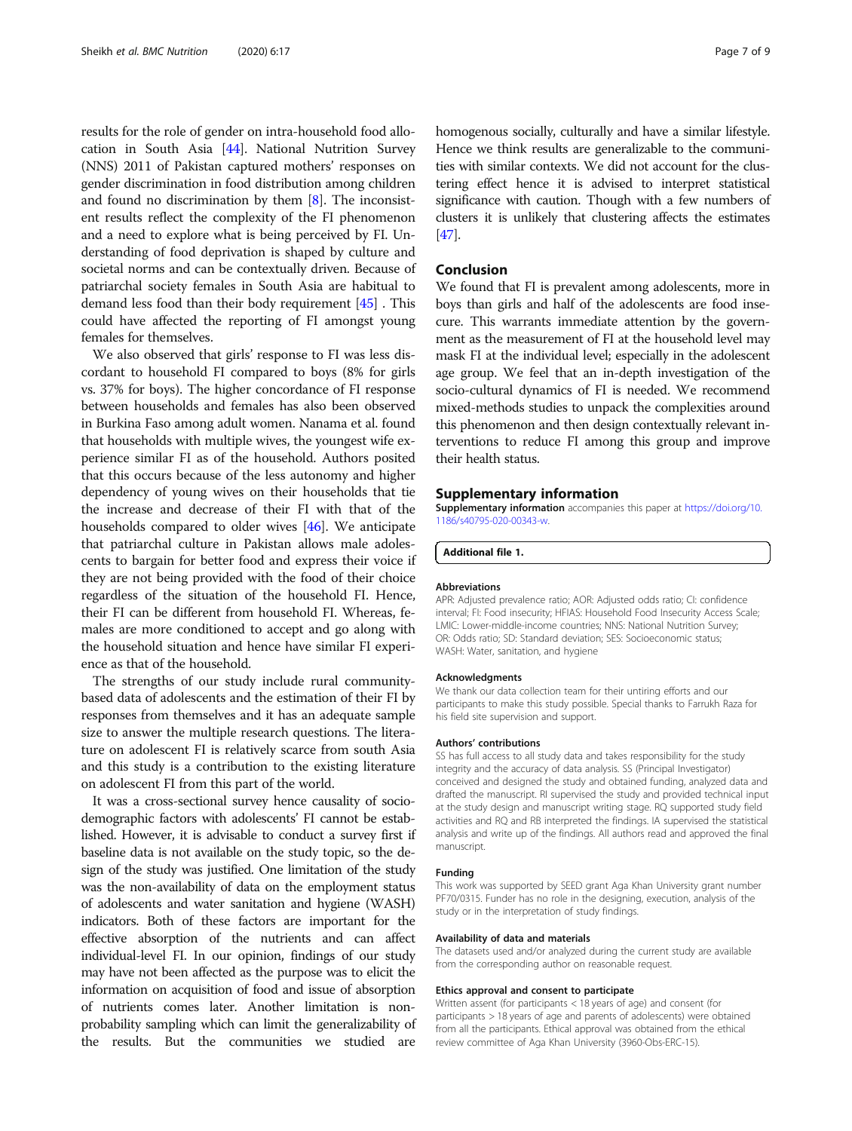<span id="page-6-0"></span>results for the role of gender on intra-household food allocation in South Asia [\[44\]](#page-8-0). National Nutrition Survey (NNS) 2011 of Pakistan captured mothers' responses on gender discrimination in food distribution among children and found no discrimination by them [\[8](#page-7-0)]. The inconsistent results reflect the complexity of the FI phenomenon and a need to explore what is being perceived by FI. Understanding of food deprivation is shaped by culture and societal norms and can be contextually driven. Because of patriarchal society females in South Asia are habitual to demand less food than their body requirement [[45](#page-8-0)] . This could have affected the reporting of FI amongst young females for themselves.

We also observed that girls' response to FI was less discordant to household FI compared to boys (8% for girls vs. 37% for boys). The higher concordance of FI response between households and females has also been observed in Burkina Faso among adult women. Nanama et al. found that households with multiple wives, the youngest wife experience similar FI as of the household. Authors posited that this occurs because of the less autonomy and higher dependency of young wives on their households that tie the increase and decrease of their FI with that of the households compared to older wives [[46](#page-8-0)]. We anticipate that patriarchal culture in Pakistan allows male adolescents to bargain for better food and express their voice if they are not being provided with the food of their choice regardless of the situation of the household FI. Hence, their FI can be different from household FI. Whereas, females are more conditioned to accept and go along with the household situation and hence have similar FI experience as that of the household.

The strengths of our study include rural communitybased data of adolescents and the estimation of their FI by responses from themselves and it has an adequate sample size to answer the multiple research questions. The literature on adolescent FI is relatively scarce from south Asia and this study is a contribution to the existing literature on adolescent FI from this part of the world.

It was a cross-sectional survey hence causality of sociodemographic factors with adolescents' FI cannot be established. However, it is advisable to conduct a survey first if baseline data is not available on the study topic, so the design of the study was justified. One limitation of the study was the non-availability of data on the employment status of adolescents and water sanitation and hygiene (WASH) indicators. Both of these factors are important for the effective absorption of the nutrients and can affect individual-level FI. In our opinion, findings of our study may have not been affected as the purpose was to elicit the information on acquisition of food and issue of absorption of nutrients comes later. Another limitation is nonprobability sampling which can limit the generalizability of the results. But the communities we studied are homogenous socially, culturally and have a similar lifestyle. Hence we think results are generalizable to the communities with similar contexts. We did not account for the clustering effect hence it is advised to interpret statistical significance with caution. Though with a few numbers of clusters it is unlikely that clustering affects the estimates [[47](#page-8-0)].

#### Conclusion

We found that FI is prevalent among adolescents, more in boys than girls and half of the adolescents are food insecure. This warrants immediate attention by the government as the measurement of FI at the household level may mask FI at the individual level; especially in the adolescent age group. We feel that an in-depth investigation of the socio-cultural dynamics of FI is needed. We recommend mixed-methods studies to unpack the complexities around this phenomenon and then design contextually relevant interventions to reduce FI among this group and improve their health status.

#### Supplementary information

Supplementary information accompanies this paper at [https://doi.org/10.](https://doi.org/10.1186/s40795-020-00343-w) [1186/s40795-020-00343-w](https://doi.org/10.1186/s40795-020-00343-w).

# Additional file 1.

#### Abbreviations

APR: Adjusted prevalence ratio; AOR: Adjusted odds ratio; CI: confidence interval; FI: Food insecurity; HFIAS: Household Food Insecurity Access Scale; LMIC: Lower-middle-income countries; NNS: National Nutrition Survey; OR: Odds ratio; SD: Standard deviation; SES: Socioeconomic status; WASH: Water, sanitation, and hygiene

#### Acknowledgments

We thank our data collection team for their untiring efforts and our participants to make this study possible. Special thanks to Farrukh Raza for his field site supervision and support.

#### Authors' contributions

SS has full access to all study data and takes responsibility for the study integrity and the accuracy of data analysis. SS (Principal Investigator) conceived and designed the study and obtained funding, analyzed data and drafted the manuscript. RI supervised the study and provided technical input at the study design and manuscript writing stage. RQ supported study field activities and RQ and RB interpreted the findings. IA supervised the statistical analysis and write up of the findings. All authors read and approved the final manuscript.

#### Funding

This work was supported by SEED grant Aga Khan University grant number PF70/0315. Funder has no role in the designing, execution, analysis of the study or in the interpretation of study findings.

#### Availability of data and materials

The datasets used and/or analyzed during the current study are available from the corresponding author on reasonable request.

#### Ethics approval and consent to participate

Written assent (for participants < 18 years of age) and consent (for participants > 18 years of age and parents of adolescents) were obtained from all the participants. Ethical approval was obtained from the ethical review committee of Aga Khan University (3960-Obs-ERC-15).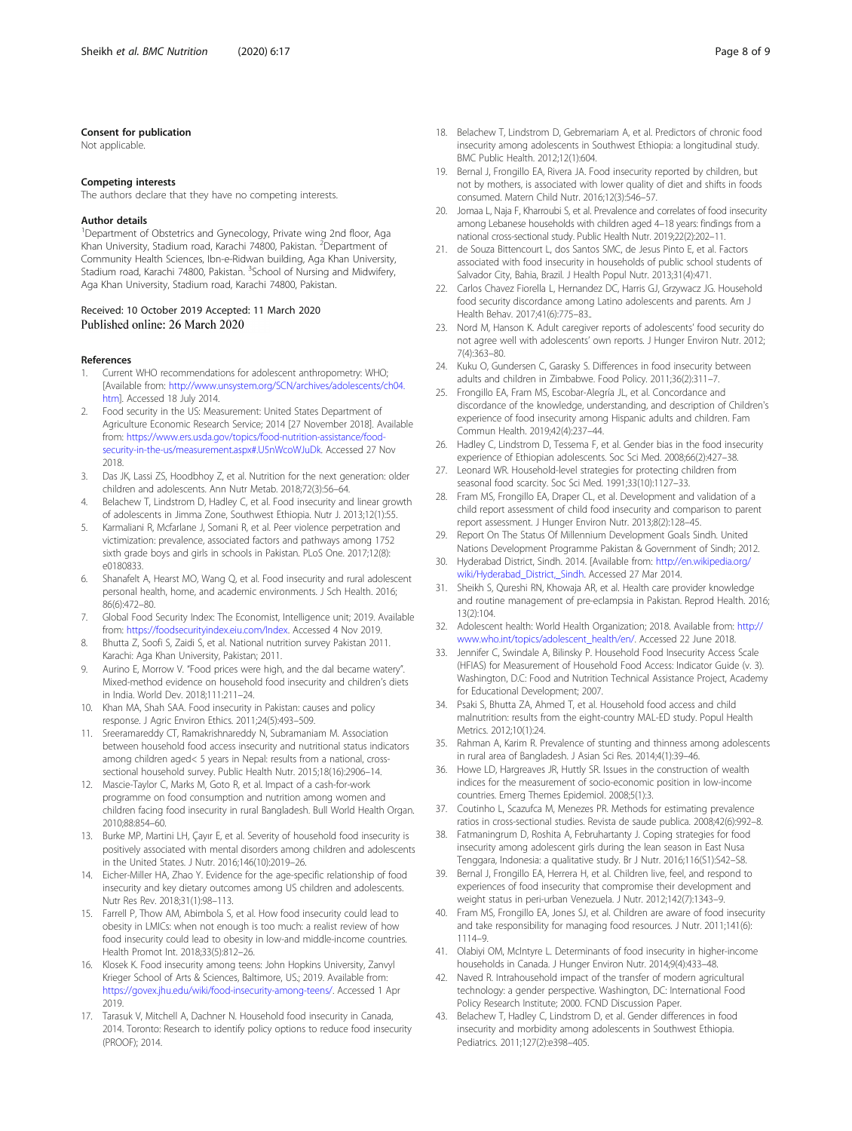#### <span id="page-7-0"></span>Consent for publication

Not applicable.

#### Competing interests

The authors declare that they have no competing interests.

#### Author details

<sup>1</sup>Department of Obstetrics and Gynecology, Private wing 2nd floor, Aga Khan University, Stadium road, Karachi 74800, Pakistan. <sup>2</sup>Department of Community Health Sciences, Ibn-e-Ridwan building, Aga Khan University, Stadium road, Karachi 74800, Pakistan. <sup>3</sup>School of Nursing and Midwifery, Aga Khan University, Stadium road, Karachi 74800, Pakistan.

#### Received: 10 October 2019 Accepted: 11 March 2020 Published online: 26 March 2020

#### References

- Current WHO recommendations for adolescent anthropometry: WHO; [Available from: [http://www.unsystem.org/SCN/archives/adolescents/ch04.](http://www.unsystem.org/SCN/archives/adolescents/ch04.htm) [htm](http://www.unsystem.org/SCN/archives/adolescents/ch04.htm)]. Accessed 18 July 2014.
- 2. Food security in the US: Measurement: United States Department of Agriculture Economic Research Service; 2014 [27 November 2018]. Available from: [https://www.ers.usda.gov/topics/food-nutrition-assistance/food](https://www.ers.usda.gov/topics/food-nutrition-assistance/food-security-in-the-us/measurement.aspx#.U5nWcoWJuDk)[security-in-the-us/measurement.aspx#.U5nWcoWJuDk](https://www.ers.usda.gov/topics/food-nutrition-assistance/food-security-in-the-us/measurement.aspx#.U5nWcoWJuDk). Accessed 27 Nov 2018.
- 3. Das JK, Lassi ZS, Hoodbhoy Z, et al. Nutrition for the next generation: older children and adolescents. Ann Nutr Metab. 2018;72(3):56–64.
- 4. Belachew T, Lindstrom D, Hadley C, et al. Food insecurity and linear growth of adolescents in Jimma Zone, Southwest Ethiopia. Nutr J. 2013;12(1):55.
- 5. Karmaliani R, Mcfarlane J, Somani R, et al. Peer violence perpetration and victimization: prevalence, associated factors and pathways among 1752 sixth grade boys and girls in schools in Pakistan. PLoS One. 2017;12(8): e0180833.
- 6. Shanafelt A, Hearst MO, Wang Q, et al. Food insecurity and rural adolescent personal health, home, and academic environments. J Sch Health. 2016; 86(6):472–80.
- 7. Global Food Security Index: The Economist, Intelligence unit; 2019. Available from: <https://foodsecurityindex.eiu.com/Index>. Accessed 4 Nov 2019.
- 8. Bhutta Z, Soofi S, Zaidi S, et al. National nutrition survey Pakistan 2011. Karachi: Aga Khan University, Pakistan; 2011.
- 9. Aurino E, Morrow V. "Food prices were high, and the dal became watery". Mixed-method evidence on household food insecurity and children's diets in India. World Dev. 2018;111:211–24.
- 10. Khan MA, Shah SAA. Food insecurity in Pakistan: causes and policy response. J Agric Environ Ethics. 2011;24(5):493–509.
- 11. Sreeramareddy CT, Ramakrishnareddy N, Subramaniam M. Association between household food access insecurity and nutritional status indicators among children aged< 5 years in Nepal: results from a national, crosssectional household survey. Public Health Nutr. 2015;18(16):2906–14.
- 12. Mascie-Taylor C, Marks M, Goto R, et al. Impact of a cash-for-work programme on food consumption and nutrition among women and children facing food insecurity in rural Bangladesh. Bull World Health Organ. 2010;88:854–60.
- 13. Burke MP, Martini LH, Çayır E, et al. Severity of household food insecurity is positively associated with mental disorders among children and adolescents in the United States. J Nutr. 2016;146(10):2019–26.
- 14. Eicher-Miller HA, Zhao Y. Evidence for the age-specific relationship of food insecurity and key dietary outcomes among US children and adolescents. Nutr Res Rev. 2018;31(1):98–113.
- 15. Farrell P, Thow AM, Abimbola S, et al. How food insecurity could lead to obesity in LMICs: when not enough is too much: a realist review of how food insecurity could lead to obesity in low-and middle-income countries. Health Promot Int. 2018;33(5):812–26.
- 16. Klosek K. Food insecurity among teens: John Hopkins University, Zanvyl Krieger School of Arts & Sciences, Baltimore, US.; 2019. Available from: [https://govex.jhu.edu/wiki/food-insecurity-among-teens/.](https://govex.jhu.edu/wiki/food-insecurity-among-teens/) Accessed 1 Apr 2019.
- 17. Tarasuk V, Mitchell A, Dachner N. Household food insecurity in Canada, 2014. Toronto: Research to identify policy options to reduce food insecurity (PROOF); 2014.
- 18. Belachew T, Lindstrom D, Gebremariam A, et al. Predictors of chronic food insecurity among adolescents in Southwest Ethiopia: a longitudinal study. BMC Public Health. 2012;12(1):604.
- 19. Bernal J, Frongillo EA, Rivera JA. Food insecurity reported by children, but not by mothers, is associated with lower quality of diet and shifts in foods consumed. Matern Child Nutr. 2016;12(3):546–57.
- 20. Jomaa L, Naja F, Kharroubi S, et al. Prevalence and correlates of food insecurity among Lebanese households with children aged 4–18 years: findings from a national cross-sectional study. Public Health Nutr. 2019;22(2):202–11.
- 21. de Souza Bittencourt L, dos Santos SMC, de Jesus Pinto E, et al. Factors associated with food insecurity in households of public school students of Salvador City, Bahia, Brazil. J Health Popul Nutr. 2013;31(4):471.
- 22. Carlos Chavez Fiorella L, Hernandez DC, Harris GJ, Grzywacz JG. Household food security discordance among Latino adolescents and parents. Am J Health Behav. 2017;41(6):775–83..
- 23. Nord M, Hanson K. Adult caregiver reports of adolescents' food security do not agree well with adolescents' own reports. J Hunger Environ Nutr. 2012; 7(4):363–80.
- 24. Kuku O, Gundersen C, Garasky S. Differences in food insecurity between adults and children in Zimbabwe. Food Policy. 2011;36(2):311–7.
- 25. Frongillo EA, Fram MS, Escobar-Alegría JL, et al. Concordance and discordance of the knowledge, understanding, and description of Children's experience of food insecurity among Hispanic adults and children. Fam Commun Health. 2019;42(4):237–44.
- 26. Hadley C, Lindstrom D, Tessema F, et al. Gender bias in the food insecurity experience of Ethiopian adolescents. Soc Sci Med. 2008;66(2):427–38.
- 27. Leonard WR. Household-level strategies for protecting children from seasonal food scarcity. Soc Sci Med. 1991;33(10):1127–33.
- 28. Fram MS, Frongillo EA, Draper CL, et al. Development and validation of a child report assessment of child food insecurity and comparison to parent report assessment. J Hunger Environ Nutr. 2013;8(2):128–45.
- 29. Report On The Status Of Millennium Development Goals Sindh. United Nations Development Programme Pakistan & Government of Sindh; 2012.
- 30. Hyderabad District, Sindh. 2014. [Available from: [http://en.wikipedia.org/](http://en.wikipedia.org/wiki/Hyderabad_District,_Sindh) [wiki/Hyderabad\\_District,\\_Sindh](http://en.wikipedia.org/wiki/Hyderabad_District,_Sindh). Accessed 27 Mar 2014.
- 31. Sheikh S, Qureshi RN, Khowaja AR, et al. Health care provider knowledge and routine management of pre-eclampsia in Pakistan. Reprod Health. 2016; 13(2):104.
- 32. Adolescent health: World Health Organization; 2018. Available from: [http://](http://www.who.int/topics/adolescent_health/en/) [www.who.int/topics/adolescent\\_health/en/.](http://www.who.int/topics/adolescent_health/en/) Accessed 22 June 2018.
- 33. Jennifer C, Swindale A, Bilinsky P. Household Food Insecurity Access Scale (HFIAS) for Measurement of Household Food Access: Indicator Guide (v. 3). Washington, D.C: Food and Nutrition Technical Assistance Project, Academy for Educational Development; 2007.
- 34. Psaki S, Bhutta ZA, Ahmed T, et al. Household food access and child malnutrition: results from the eight-country MAL-ED study. Popul Health Metrics. 2012;10(1):24.
- 35. Rahman A, Karim R. Prevalence of stunting and thinness among adolescents in rural area of Bangladesh. J Asian Sci Res. 2014;4(1):39–46.
- 36. Howe LD, Hargreaves JR, Huttly SR. Issues in the construction of wealth indices for the measurement of socio-economic position in low-income countries. Emerg Themes Epidemiol. 2008;5(1):3.
- 37. Coutinho L, Scazufca M, Menezes PR. Methods for estimating prevalence ratios in cross-sectional studies. Revista de saude publica. 2008;42(6):992–8.
- 38. Fatmaningrum D, Roshita A, Februhartanty J. Coping strategies for food insecurity among adolescent girls during the lean season in East Nusa Tenggara, Indonesia: a qualitative study. Br J Nutr. 2016;116(S1):S42–S8.
- 39. Bernal J, Frongillo EA, Herrera H, et al. Children live, feel, and respond to experiences of food insecurity that compromise their development and weight status in peri-urban Venezuela. J Nutr. 2012;142(7):1343–9.
- 40. Fram MS, Frongillo EA, Jones SJ, et al. Children are aware of food insecurity and take responsibility for managing food resources. J Nutr. 2011;141(6): 1114–9.
- 41. Olabiyi OM, McIntyre L. Determinants of food insecurity in higher-income households in Canada. J Hunger Environ Nutr. 2014;9(4):433–48.
- 42. Naved R. Intrahousehold impact of the transfer of modern agricultural technology: a gender perspective. Washington, DC: International Food Policy Research Institute; 2000. FCND Discussion Paper.
- 43. Belachew T, Hadley C, Lindstrom D, et al. Gender differences in food insecurity and morbidity among adolescents in Southwest Ethiopia. Pediatrics. 2011;127(2):e398–405.